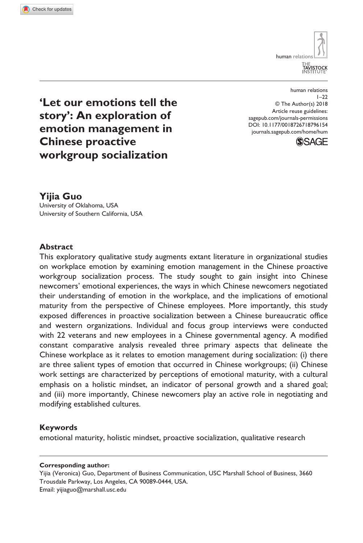**7961[54](http://crossmark.crossref.org/dialog/?doi=10.1177%2F0018726718796154&domain=pdf&date_stamp=2018-10-30)** HUM0010.1177/0018726718796154Human Relations**Guo**



**'Let our emotions tell the story': An exploration of emotion management in Chinese proactive workgroup socialization**

https://doi.org/10.1177/0018726718796154 DOI: 10.1177/0018726718796154 human relations  $1 - 22$ © The Author(s) 2018 Article reuse guidelines: [sagepub.com/journals-permissions](https://uk.sagepub.com/en-gb/journals-permissions) [journals.sagepub.com/home/hum](https://journals.sagepub.com/home/hum)



## **Yijia Guo**

University of Oklahoma, USA University of Southern California, USA

#### **Abstract**

This exploratory qualitative study augments extant literature in organizational studies on workplace emotion by examining emotion management in the Chinese proactive workgroup socialization process. The study sought to gain insight into Chinese newcomers' emotional experiences, the ways in which Chinese newcomers negotiated their understanding of emotion in the workplace, and the implications of emotional maturity from the perspective of Chinese employees. More importantly, this study exposed differences in proactive socialization between a Chinese bureaucratic office and western organizations. Individual and focus group interviews were conducted with 22 veterans and new employees in a Chinese governmental agency. A modified constant comparative analysis revealed three primary aspects that delineate the Chinese workplace as it relates to emotion management during socialization: (i) there are three salient types of emotion that occurred in Chinese workgroups; (ii) Chinese work settings are characterized by perceptions of emotional maturity, with a cultural emphasis on a holistic mindset, an indicator of personal growth and a shared goal; and (iii) more importantly, Chinese newcomers play an active role in negotiating and modifying established cultures.

### **Keywords**

emotional maturity, holistic mindset, proactive socialization, qualitative research

#### **Corresponding author:**

Yijia (Veronica) Guo, Department of Business Communication, USC Marshall School of Business, 3660 Trousdale Parkway, Los Angeles, CA 90089-0444, USA. Email: [yijiaguo@marshall.usc.edu](mailto:yijiaguo@marshall.usc.edu)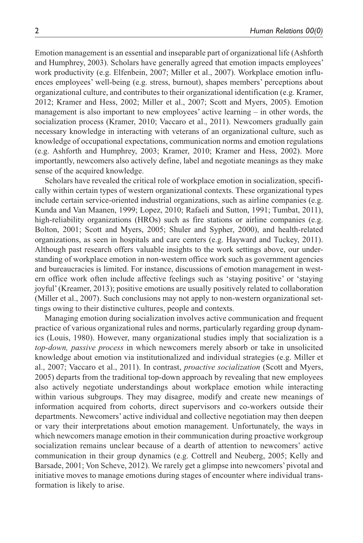Emotion management is an essential and inseparable part of organizational life (Ashforth and Humphrey, 2003). Scholars have generally agreed that emotion impacts employees' work productivity (e.g. Elfenbein, 2007; Miller et al., 2007). Workplace emotion influences employees' well-being (e.g. stress, burnout), shapes members' perceptions about organizational culture, and contributes to their organizational identification (e.g. Kramer, 2012; Kramer and Hess, 2002; Miller et al., 2007; Scott and Myers, 2005). Emotion management is also important to new employees' active learning – in other words, the socialization process (Kramer, 2010; Vaccaro et al., 2011). Newcomers gradually gain necessary knowledge in interacting with veterans of an organizational culture, such as knowledge of occupational expectations, communication norms and emotion regulations (e.g. Ashforth and Humphrey, 2003; Kramer, 2010; Kramer and Hess, 2002). More importantly, newcomers also actively define, label and negotiate meanings as they make sense of the acquired knowledge.

Scholars have revealed the critical role of workplace emotion in socialization, specifically within certain types of western organizational contexts. These organizational types include certain service-oriented industrial organizations, such as airline companies (e.g. Kunda and Van Maanen, 1999; Lopez, 2010; Rafaeli and Sutton, 1991; Tumbat, 2011), high-reliability organizations (HROs) such as fire stations or airline companies (e.g. Bolton, 2001; Scott and Myers, 2005; Shuler and Sypher, 2000), and health-related organizations, as seen in hospitals and care centers (e.g. Hayward and Tuckey, 2011). Although past research offers valuable insights to the work settings above, our understanding of workplace emotion in non-western office work such as government agencies and bureaucracies is limited. For instance, discussions of emotion management in western office work often include affective feelings such as 'staying positive' or 'staying joyful' (Kreamer, 2013); positive emotions are usually positively related to collaboration (Miller et al., 2007). Such conclusions may not apply to non-western organizational settings owing to their distinctive cultures, people and contexts.

Managing emotion during socialization involves active communication and frequent practice of various organizational rules and norms, particularly regarding group dynamics (Louis, 1980). However, many organizational studies imply that socialization is a *top-down, passive process* in which newcomers merely absorb or take in unsolicited knowledge about emotion via institutionalized and individual strategies (e.g. Miller et al., 2007; Vaccaro et al., 2011). In contrast, *proactive socialization* (Scott and Myers, 2005) departs from the traditional top-down approach by revealing that new employees also actively negotiate understandings about workplace emotion while interacting within various subgroups. They may disagree, modify and create new meanings of information acquired from cohorts, direct supervisors and co-workers outside their departments. Newcomers' active individual and collective negotiation may then deepen or vary their interpretations about emotion management. Unfortunately, the ways in which newcomers manage emotion in their communication during proactive workgroup socialization remains unclear because of a dearth of attention to newcomers' active communication in their group dynamics (e.g. Cottrell and Neuberg, 2005; Kelly and Barsade, 2001; Von Scheve, 2012). We rarely get a glimpse into newcomers' pivotal and initiative moves to manage emotions during stages of encounter where individual transformation is likely to arise.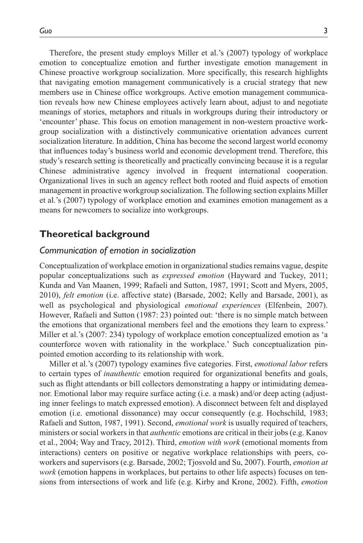Therefore, the present study employs Miller et al.'s (2007) typology of workplace emotion to conceptualize emotion and further investigate emotion management in Chinese proactive workgroup socialization. More specifically, this research highlights that navigating emotion management communicatively is a crucial strategy that new members use in Chinese office workgroups. Active emotion management communication reveals how new Chinese employees actively learn about, adjust to and negotiate meanings of stories, metaphors and rituals in workgroups during their introductory or 'encounter' phase. This focus on emotion management in non-western proactive workgroup socialization with a distinctively communicative orientation advances current socialization literature. In addition, China has become the second largest world economy that influences today's business world and economic development trend. Therefore, this study's research setting is theoretically and practically convincing because it is a regular Chinese administrative agency involved in frequent international cooperation. Organizational lives in such an agency reflect both rooted and fluid aspects of emotion management in proactive workgroup socialization. The following section explains Miller et al.'s (2007) typology of workplace emotion and examines emotion management as a means for newcomers to socialize into workgroups.

# **Theoretical background**

### *Communication of emotion in socialization*

Conceptualization of workplace emotion in organizational studies remains vague, despite popular conceptualizations such as *expressed emotion* (Hayward and Tuckey, 2011; Kunda and Van Maanen, 1999; Rafaeli and Sutton, 1987, 1991; Scott and Myers, 2005, 2010), *felt emotion* (i.e. affective state) (Barsade, 2002; Kelly and Barsade, 2001), as well as psychological and physiological *emotional experiences* (Elfenbein, 2007). However, Rafaeli and Sutton (1987: 23) pointed out: 'there is no simple match between the emotions that organizational members feel and the emotions they learn to express.' Miller et al.'s (2007: 234) typology of workplace emotion conceptualized emotion as 'a counterforce woven with rationality in the workplace.' Such conceptualization pinpointed emotion according to its relationship with work.

Miller et al.'s (2007) typology examines five categories. First, *emotional labor* refers to certain types of *inauthentic* emotion required for organizational benefits and goals, such as flight attendants or bill collectors demonstrating a happy or intimidating demeanor. Emotional labor may require surface acting (i.e. a mask) and/or deep acting (adjusting inner feelings to match expressed emotion). A disconnect between felt and displayed emotion (i.e. emotional dissonance) may occur consequently (e.g. Hochschild, 1983; Rafaeli and Sutton, 1987, 1991). Second, *emotional work* is usually required of teachers, ministers or social workers in that *authentic* emotions are critical in their jobs (e.g. Kanov et al., 2004; Way and Tracy, 2012). Third, *emotion with work* (emotional moments from interactions) centers on positive or negative workplace relationships with peers, coworkers and supervisors (e.g. Barsade, 2002; Tjosvold and Su, 2007). Fourth, *emotion at work* (emotion happens in workplaces, but pertains to other life aspects) focuses on tensions from intersections of work and life (e.g. Kirby and Krone, 2002). Fifth, *emotion*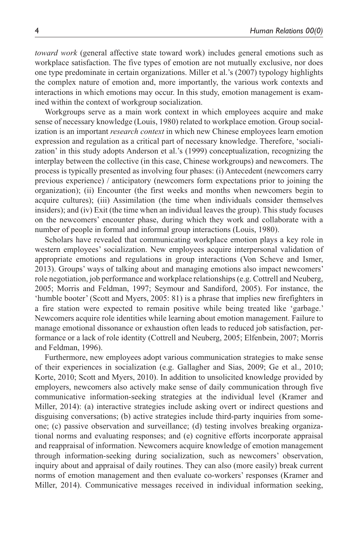*toward work* (general affective state toward work) includes general emotions such as workplace satisfaction. The five types of emotion are not mutually exclusive, nor does one type predominate in certain organizations. Miller et al.'s (2007) typology highlights the complex nature of emotion and, more importantly, the various work contexts and interactions in which emotions may occur. In this study, emotion management is examined within the context of workgroup socialization.

Workgroups serve as a main work context in which employees acquire and make sense of necessary knowledge (Louis, 1980) related to workplace emotion. Group socialization is an important *research context* in which new Chinese employees learn emotion expression and regulation as a critical part of necessary knowledge. Therefore, 'socialization' in this study adopts Anderson et al.'s (1999) conceptualization, recognizing the interplay between the collective (in this case, Chinese workgroups) and newcomers. The process is typically presented as involving four phases: (i) Antecedent (newcomers carry previous experience) / anticipatory (newcomers form expectations prior to joining the organization); (ii) Encounter (the first weeks and months when newcomers begin to acquire cultures); (iii) Assimilation (the time when individuals consider themselves insiders); and (iv) Exit (the time when an individual leaves the group). This study focuses on the newcomers' encounter phase, during which they work and collaborate with a number of people in formal and informal group interactions (Louis, 1980).

Scholars have revealed that communicating workplace emotion plays a key role in western employees' socialization. New employees acquire interpersonal validation of appropriate emotions and regulations in group interactions (Von Scheve and Ismer, 2013). Groups' ways of talking about and managing emotions also impact newcomers' role negotiation, job performance and workplace relationships (e.g. Cottrell and Neuberg, 2005; Morris and Feldman, 1997; Seymour and Sandiford, 2005). For instance, the 'humble booter' (Scott and Myers, 2005: 81) is a phrase that implies new firefighters in a fire station were expected to remain positive while being treated like 'garbage.' Newcomers acquire role identities while learning about emotion management. Failure to manage emotional dissonance or exhaustion often leads to reduced job satisfaction, performance or a lack of role identity (Cottrell and Neuberg, 2005; Elfenbein, 2007; Morris and Feldman, 1996).

Furthermore, new employees adopt various communication strategies to make sense of their experiences in socialization (e.g. Gallagher and Sias, 2009; Ge et al., 2010; Korte, 2010; Scott and Myers, 2010). In addition to unsolicited knowledge provided by employers, newcomers also actively make sense of daily communication through five communicative information-seeking strategies at the individual level (Kramer and Miller, 2014): (a) interactive strategies include asking overt or indirect questions and disguising conversations; (b) active strategies include third-party inquiries from someone; (c) passive observation and surveillance; (d) testing involves breaking organizational norms and evaluating responses; and (e) cognitive efforts incorporate appraisal and reappraisal of information. Newcomers acquire knowledge of emotion management through information-seeking during socialization, such as newcomers' observation, inquiry about and appraisal of daily routines. They can also (more easily) break current norms of emotion management and then evaluate co-workers' responses (Kramer and Miller, 2014). Communicative messages received in individual information seeking,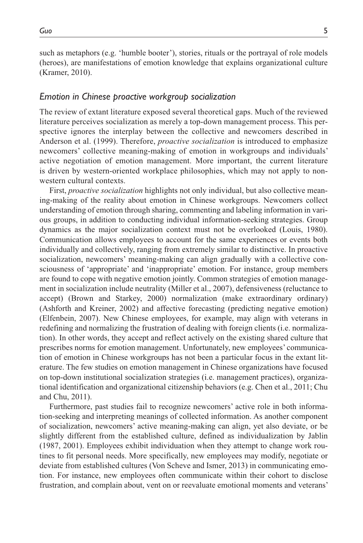such as metaphors (e.g. 'humble booter'), stories, rituals or the portrayal of role models (heroes), are manifestations of emotion knowledge that explains organizational culture (Kramer, 2010).

#### *Emotion in Chinese proactive workgroup socialization*

The review of extant literature exposed several theoretical gaps. Much of the reviewed literature perceives socialization as merely a top-down management process. This perspective ignores the interplay between the collective and newcomers described in Anderson et al. (1999). Therefore, *proactive socialization* is introduced to emphasize newcomers' collective meaning-making of emotion in workgroups and individuals' active negotiation of emotion management. More important, the current literature is driven by western-oriented workplace philosophies, which may not apply to nonwestern cultural contexts.

First, *proactive socialization* highlights not only individual, but also collective meaning-making of the reality about emotion in Chinese workgroups. Newcomers collect understanding of emotion through sharing, commenting and labeling information in various groups, in addition to conducting individual information-seeking strategies. Group dynamics as the major socialization context must not be overlooked (Louis, 1980). Communication allows employees to account for the same experiences or events both individually and collectively, ranging from extremely similar to distinctive. In proactive socialization, newcomers' meaning-making can align gradually with a collective consciousness of 'appropriate' and 'inappropriate' emotion. For instance, group members are found to cope with negative emotion jointly. Common strategies of emotion management in socialization include neutrality (Miller et al., 2007), defensiveness (reluctance to accept) (Brown and Starkey, 2000) normalization (make extraordinary ordinary) (Ashforth and Kreiner, 2002) and affective forecasting (predicting negative emotion) (Elfenbein, 2007). New Chinese employees, for example, may align with veterans in redefining and normalizing the frustration of dealing with foreign clients (i.e. normalization). In other words, they accept and reflect actively on the existing shared culture that prescribes norms for emotion management. Unfortunately, new employees' communication of emotion in Chinese workgroups has not been a particular focus in the extant literature. The few studies on emotion management in Chinese organizations have focused on top-down institutional socialization strategies (i.e. management practices), organizational identification and organizational citizenship behaviors (e.g. Chen et al., 2011; Chu and Chu, 2011).

Furthermore, past studies fail to recognize newcomers' active role in both information-seeking and interpreting meanings of collected information. As another component of socialization, newcomers' active meaning-making can align, yet also deviate, or be slightly different from the established culture, defined as individualization by Jablin (1987, 2001). Employees exhibit individuation when they attempt to change work routines to fit personal needs. More specifically, new employees may modify, negotiate or deviate from established cultures (Von Scheve and Ismer, 2013) in communicating emotion. For instance, new employees often communicate within their cohort to disclose frustration, and complain about, vent on or reevaluate emotional moments and veterans'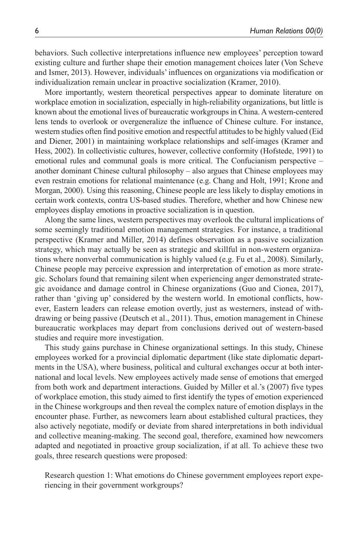behaviors. Such collective interpretations influence new employees' perception toward existing culture and further shape their emotion management choices later (Von Scheve and Ismer, 2013). However, individuals' influences on organizations via modification or individualization remain unclear in proactive socialization (Kramer, 2010).

More importantly, western theoretical perspectives appear to dominate literature on workplace emotion in socialization, especially in high-reliability organizations, but little is known about the emotional lives of bureaucratic workgroups in China. A western-centered lens tends to overlook or overgeneralize the influence of Chinese culture. For instance, western studies often find positive emotion and respectful attitudes to be highly valued (Eid and Diener, 2001) in maintaining workplace relationships and self-images (Kramer and Hess, 2002). In collectivistic cultures, however, collective conformity (Hofstede, 1991) to emotional rules and communal goals is more critical. The Confucianism perspective – another dominant Chinese cultural philosophy – also argues that Chinese employees may even restrain emotions for relational maintenance (e.g. Chang and Holt, 1991; Krone and Morgan, 2000). Using this reasoning, Chinese people are less likely to display emotions in certain work contexts, contra US-based studies. Therefore, whether and how Chinese new employees display emotions in proactive socialization is in question.

Along the same lines, western perspectives may overlook the cultural implications of some seemingly traditional emotion management strategies. For instance, a traditional perspective (Kramer and Miller, 2014) defines observation as a passive socialization strategy, which may actually be seen as strategic and skillful in non-western organizations where nonverbal communication is highly valued (e.g. Fu et al., 2008). Similarly, Chinese people may perceive expression and interpretation of emotion as more strategic. Scholars found that remaining silent when experiencing anger demonstrated strategic avoidance and damage control in Chinese organizations (Guo and Cionea, 2017), rather than 'giving up' considered by the western world. In emotional conflicts, however, Eastern leaders can release emotion overtly, just as westerners, instead of withdrawing or being passive (Deutsch et al., 2011). Thus, emotion management in Chinese bureaucratic workplaces may depart from conclusions derived out of western-based studies and require more investigation.

This study gains purchase in Chinese organizational settings. In this study, Chinese employees worked for a provincial diplomatic department (like state diplomatic departments in the USA), where business, political and cultural exchanges occur at both international and local levels. New employees actively made sense of emotions that emerged from both work and department interactions. Guided by Miller et al.'s (2007) five types of workplace emotion, this study aimed to first identify the types of emotion experienced in the Chinese workgroups and then reveal the complex nature of emotion displays in the encounter phase. Further, as newcomers learn about established cultural practices, they also actively negotiate, modify or deviate from shared interpretations in both individual and collective meaning-making. The second goal, therefore, examined how newcomers adapted and negotiated in proactive group socialization, if at all. To achieve these two goals, three research questions were proposed:

Research question 1: What emotions do Chinese government employees report experiencing in their government workgroups?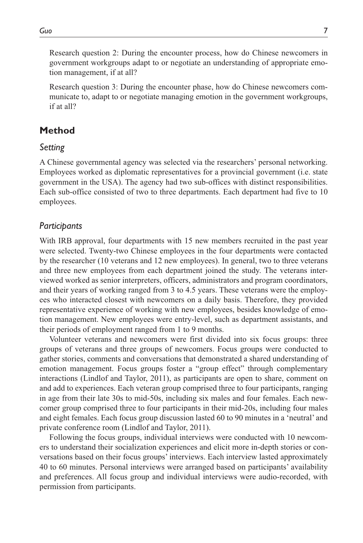Research question 2: During the encounter process, how do Chinese newcomers in government workgroups adapt to or negotiate an understanding of appropriate emotion management, if at all?

Research question 3: During the encounter phase, how do Chinese newcomers communicate to, adapt to or negotiate managing emotion in the government workgroups, if at all?

# **Method**

# *Setting*

A Chinese governmental agency was selected via the researchers' personal networking. Employees worked as diplomatic representatives for a provincial government (i.e. state government in the USA). The agency had two sub-offices with distinct responsibilities. Each sub-office consisted of two to three departments. Each department had five to 10 employees.

# *Participants*

With IRB approval, four departments with 15 new members recruited in the past year were selected. Twenty-two Chinese employees in the four departments were contacted by the researcher (10 veterans and 12 new employees). In general, two to three veterans and three new employees from each department joined the study. The veterans interviewed worked as senior interpreters, officers, administrators and program coordinators, and their years of working ranged from 3 to 4.5 years. These veterans were the employees who interacted closest with newcomers on a daily basis. Therefore, they provided representative experience of working with new employees, besides knowledge of emotion management. New employees were entry-level, such as department assistants, and their periods of employment ranged from 1 to 9 months.

Volunteer veterans and newcomers were first divided into six focus groups: three groups of veterans and three groups of newcomers. Focus groups were conducted to gather stories, comments and conversations that demonstrated a shared understanding of emotion management. Focus groups foster a "group effect" through complementary interactions (Lindlof and Taylor, 2011), as participants are open to share, comment on and add to experiences. Each veteran group comprised three to four participants, ranging in age from their late 30s to mid-50s, including six males and four females. Each newcomer group comprised three to four participants in their mid-20s, including four males and eight females. Each focus group discussion lasted 60 to 90 minutes in a 'neutral' and private conference room (Lindlof and Taylor, 2011).

Following the focus groups, individual interviews were conducted with 10 newcomers to understand their socialization experiences and elicit more in-depth stories or conversations based on their focus groups' interviews. Each interview lasted approximately 40 to 60 minutes. Personal interviews were arranged based on participants' availability and preferences. All focus group and individual interviews were audio-recorded, with permission from participants.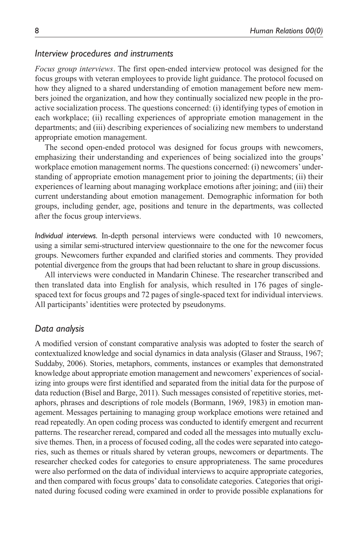### *Interview procedures and instruments*

*Focus group interviews*. The first open-ended interview protocol was designed for the focus groups with veteran employees to provide light guidance. The protocol focused on how they aligned to a shared understanding of emotion management before new members joined the organization, and how they continually socialized new people in the proactive socialization process. The questions concerned: (i) identifying types of emotion in each workplace; (ii) recalling experiences of appropriate emotion management in the departments; and (iii) describing experiences of socializing new members to understand appropriate emotion management.

The second open-ended protocol was designed for focus groups with newcomers, emphasizing their understanding and experiences of being socialized into the groups' workplace emotion management norms. The questions concerned: (i) newcomers' understanding of appropriate emotion management prior to joining the departments; (ii) their experiences of learning about managing workplace emotions after joining; and (iii) their current understanding about emotion management. Demographic information for both groups, including gender, age, positions and tenure in the departments, was collected after the focus group interviews.

*Individual interviews.* In-depth personal interviews were conducted with 10 newcomers, using a similar semi-structured interview questionnaire to the one for the newcomer focus groups. Newcomers further expanded and clarified stories and comments. They provided potential divergence from the groups that had been reluctant to share in group discussions.

All interviews were conducted in Mandarin Chinese. The researcher transcribed and then translated data into English for analysis, which resulted in 176 pages of singlespaced text for focus groups and 72 pages of single-spaced text for individual interviews. All participants' identities were protected by pseudonyms.

### *Data analysis*

A modified version of constant comparative analysis was adopted to foster the search of contextualized knowledge and social dynamics in data analysis (Glaser and Strauss, 1967; Suddaby, 2006). Stories, metaphors, comments, instances or examples that demonstrated knowledge about appropriate emotion management and newcomers' experiences of socializing into groups were first identified and separated from the initial data for the purpose of data reduction (Bisel and Barge, 2011). Such messages consisted of repetitive stories, metaphors, phrases and descriptions of role models (Bormann, 1969, 1983) in emotion management. Messages pertaining to managing group workplace emotions were retained and read repeatedly. An open coding process was conducted to identify emergent and recurrent patterns. The researcher reread, compared and coded all the messages into mutually exclusive themes. Then, in a process of focused coding, all the codes were separated into categories, such as themes or rituals shared by veteran groups, newcomers or departments. The researcher checked codes for categories to ensure appropriateness. The same procedures were also performed on the data of individual interviews to acquire appropriate categories, and then compared with focus groups' data to consolidate categories. Categories that originated during focused coding were examined in order to provide possible explanations for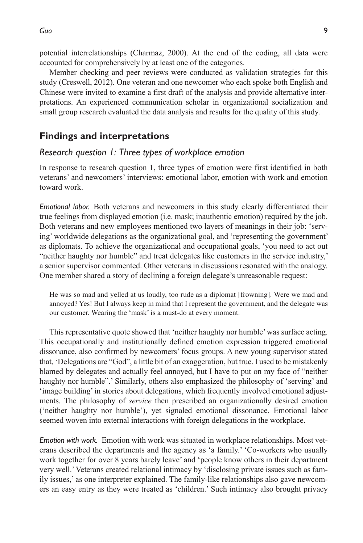potential interrelationships (Charmaz, 2000). At the end of the coding, all data were accounted for comprehensively by at least one of the categories.

Member checking and peer reviews were conducted as validation strategies for this study (Creswell, 2012). One veteran and one newcomer who each spoke both English and Chinese were invited to examine a first draft of the analysis and provide alternative interpretations. An experienced communication scholar in organizational socialization and small group research evaluated the data analysis and results for the quality of this study.

## **Findings and interpretations**

#### *Research question 1: Three types of workplace emotion*

In response to research question 1, three types of emotion were first identified in both veterans' and newcomers' interviews: emotional labor, emotion with work and emotion toward work.

*Emotional labor.* Both veterans and newcomers in this study clearly differentiated their true feelings from displayed emotion (i.e. mask; inauthentic emotion) required by the job. Both veterans and new employees mentioned two layers of meanings in their job: 'serving' worldwide delegations as the organizational goal, and 'representing the government' as diplomats. To achieve the organizational and occupational goals, 'you need to act out "neither haughty nor humble" and treat delegates like customers in the service industry,' a senior supervisor commented. Other veterans in discussions resonated with the analogy. One member shared a story of declining a foreign delegate's unreasonable request:

He was so mad and yelled at us loudly, too rude as a diplomat [frowning]. Were we mad and annoyed? Yes! But I always keep in mind that I represent the government, and the delegate was our customer. Wearing the 'mask' is a must-do at every moment.

This representative quote showed that 'neither haughty nor humble' was surface acting. This occupationally and institutionally defined emotion expression triggered emotional dissonance, also confirmed by newcomers' focus groups. A new young supervisor stated that, 'Delegations are "God", a little bit of an exaggeration, but true. I used to be mistakenly blamed by delegates and actually feel annoyed, but I have to put on my face of "neither haughty nor humble".' Similarly, others also emphasized the philosophy of 'serving' and 'image building' in stories about delegations, which frequently involved emotional adjustments. The philosophy of *service* then prescribed an organizationally desired emotion ('neither haughty nor humble'), yet signaled emotional dissonance. Emotional labor seemed woven into external interactions with foreign delegations in the workplace.

*Emotion with work.* Emotion with work was situated in workplace relationships. Most veterans described the departments and the agency as 'a family.' 'Co-workers who usually work together for over 8 years barely leave' and 'people know others in their department very well.' Veterans created relational intimacy by 'disclosing private issues such as family issues,' as one interpreter explained. The family-like relationships also gave newcomers an easy entry as they were treated as 'children.' Such intimacy also brought privacy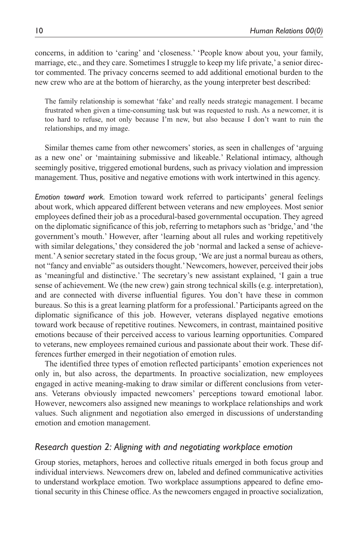concerns, in addition to 'caring' and 'closeness.' 'People know about you, your family, marriage, etc., and they care. Sometimes I struggle to keep my life private,' a senior director commented. The privacy concerns seemed to add additional emotional burden to the new crew who are at the bottom of hierarchy, as the young interpreter best described:

The family relationship is somewhat 'fake' and really needs strategic management. I became frustrated when given a time-consuming task but was requested to rush. As a newcomer, it is too hard to refuse, not only because I'm new, but also because I don't want to ruin the relationships, and my image.

Similar themes came from other newcomers' stories, as seen in challenges of 'arguing as a new one' or 'maintaining submissive and likeable.' Relational intimacy, although seemingly positive, triggered emotional burdens, such as privacy violation and impression management. Thus, positive and negative emotions with work intertwined in this agency.

*Emotion toward work.* Emotion toward work referred to participants' general feelings about work, which appeared different between veterans and new employees. Most senior employees defined their job as a procedural-based governmental occupation. They agreed on the diplomatic significance of this job, referring to metaphors such as 'bridge,' and 'the government's mouth.' However, after 'learning about all rules and working repetitively with similar delegations,' they considered the job 'normal and lacked a sense of achievement.' A senior secretary stated in the focus group, 'We are just a normal bureau as others, not "fancy and enviable" as outsiders thought.' Newcomers, however, perceived their jobs as 'meaningful and distinctive.' The secretary's new assistant explained, 'I gain a true sense of achievement. We (the new crew) gain strong technical skills (e.g. interpretation), and are connected with diverse influential figures. You don't have these in common bureaus. So this is a great learning platform for a professional.' Participants agreed on the diplomatic significance of this job. However, veterans displayed negative emotions toward work because of repetitive routines. Newcomers, in contrast, maintained positive emotions because of their perceived access to various learning opportunities. Compared to veterans, new employees remained curious and passionate about their work. These differences further emerged in their negotiation of emotion rules.

The identified three types of emotion reflected participants' emotion experiences not only in, but also across, the departments. In proactive socialization, new employees engaged in active meaning-making to draw similar or different conclusions from veterans. Veterans obviously impacted newcomers' perceptions toward emotional labor. However, newcomers also assigned new meanings to workplace relationships and work values. Such alignment and negotiation also emerged in discussions of understanding emotion and emotion management.

### *Research question 2: Aligning with and negotiating workplace emotion*

Group stories, metaphors, heroes and collective rituals emerged in both focus group and individual interviews. Newcomers drew on, labeled and defined communicative activities to understand workplace emotion. Two workplace assumptions appeared to define emotional security in this Chinese office. As the newcomers engaged in proactive socialization,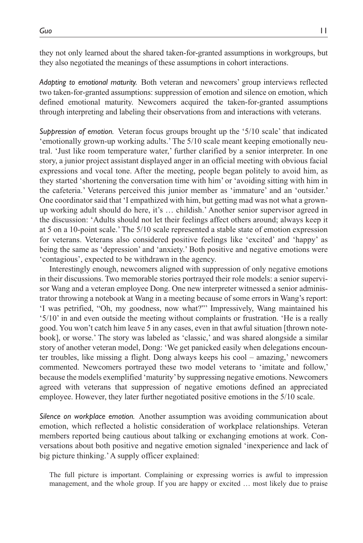they not only learned about the shared taken-for-granted assumptions in workgroups, but they also negotiated the meanings of these assumptions in cohort interactions.

*Adapting to emotional maturity.* Both veteran and newcomers' group interviews reflected two taken-for-granted assumptions: suppression of emotion and silence on emotion, which defined emotional maturity. Newcomers acquired the taken-for-granted assumptions through interpreting and labeling their observations from and interactions with veterans.

*Suppression of emotion.* Veteran focus groups brought up the '5/10 scale' that indicated 'emotionally grown-up working adults.' The 5/10 scale meant keeping emotionally neutral. 'Just like room temperature water,' further clarified by a senior interpreter. In one story, a junior project assistant displayed anger in an official meeting with obvious facial expressions and vocal tone. After the meeting, people began politely to avoid him, as they started 'shortening the conversation time with him' or 'avoiding sitting with him in the cafeteria.' Veterans perceived this junior member as 'immature' and an 'outsider.' One coordinator said that 'I empathized with him, but getting mad was not what a grownup working adult should do here, it's … childish.' Another senior supervisor agreed in the discussion: 'Adults should not let their feelings affect others around; always keep it at 5 on a 10-point scale.' The 5/10 scale represented a stable state of emotion expression for veterans. Veterans also considered positive feelings like 'excited' and 'happy' as being the same as 'depression' and 'anxiety.' Both positive and negative emotions were 'contagious', expected to be withdrawn in the agency.

Interestingly enough, newcomers aligned with suppression of only negative emotions in their discussions. Two memorable stories portrayed their role models: a senior supervisor Wang and a veteran employee Dong. One new interpreter witnessed a senior administrator throwing a notebook at Wang in a meeting because of some errors in Wang's report: 'I was petrified, "Oh, my goodness, now what?"' Impressively, Wang maintained his '5/10' in and even outside the meeting without complaints or frustration. 'He is a really good. You won't catch him leave 5 in any cases, even in that awful situation [thrown notebook], or worse.' The story was labeled as 'classic,' and was shared alongside a similar story of another veteran model, Dong: 'We get panicked easily when delegations encounter troubles, like missing a flight. Dong always keeps his cool – amazing,' newcomers commented. Newcomers portrayed these two model veterans to 'imitate and follow,' because the models exemplified 'maturity' by suppressing negative emotions. Newcomers agreed with veterans that suppression of negative emotions defined an appreciated employee. However, they later further negotiated positive emotions in the 5/10 scale.

*Silence on workplace emotion.* Another assumption was avoiding communication about emotion, which reflected a holistic consideration of workplace relationships. Veteran members reported being cautious about talking or exchanging emotions at work. Conversations about both positive and negative emotion signaled 'inexperience and lack of big picture thinking.' A supply officer explained:

The full picture is important. Complaining or expressing worries is awful to impression management, and the whole group. If you are happy or excited … most likely due to praise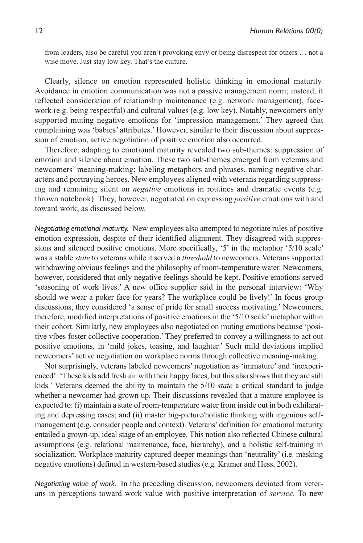from leaders, also be careful you aren't provoking envy or being disrespect for others … not a wise move. Just stay low key. That's the culture.

Clearly, silence on emotion represented holistic thinking in emotional maturity. Avoidance in emotion communication was not a passive management norm; instead, it reflected consideration of relationship maintenance (e.g. network management), facework (e.g. being respectful) and cultural values (e.g. low key). Notably, newcomers only supported muting negative emotions for 'impression management.' They agreed that complaining was 'babies' attributes.' However, similar to their discussion about suppression of emotion, active negotiation of positive emotion also occurred.

Therefore, adapting to emotional maturity revealed two sub-themes: suppression of emotion and silence about emotion. These two sub-themes emerged from veterans and newcomers' meaning-making: labeling metaphors and phrases, naming negative characters and portraying heroes. New employees aligned with veterans regarding suppressing and remaining silent on *negative* emotions in routines and dramatic events (e.g. thrown notebook). They, however, negotiated on expressing *positive* emotions with and toward work, as discussed below.

*Negotiating emotional maturity.* New employees also attempted to negotiate rules of positive emotion expression, despite of their identified alignment. They disagreed with suppressions and silenced positive emotions. More specifically, '5' in the metaphor '5/10 scale' was a stable *state* to veterans while it served a *threshold* to newcomers. Veterans supported withdrawing obvious feelings and the philosophy of room-temperature water. Newcomers, however, considered that only negative feelings should be kept. Positive emotions served 'seasoning of work lives.' A new office supplier said in the personal interview: 'Why should we wear a poker face for years? The workplace could be lively!' In focus group discussions, they considered 'a sense of pride for small success motivating.' Newcomers, therefore, modified interpretations of positive emotions in the '5/10 scale' metaphor within their cohort. Similarly, new employees also negotiated on muting emotions because 'positive vibes foster collective cooperation.' They preferred to convey a willingness to act out positive emotions, in 'mild jokes, teasing, and laughter.' Such mild deviations implied newcomers' active negotiation on workplace norms through collective meaning-making.

Not surprisingly, veterans labeled newcomers' negotiation as 'immature' and 'inexperienced': 'These kids add fresh air with their happy faces, but this also shows that they are still kids.' Veterans deemed the ability to maintain the 5/10 *state* a critical standard to judge whether a newcomer had grown up. Their discussions revealed that a mature employee is expected to: (i) maintain a state of room-temperature water from inside out in both exhilarating and depressing cases; and (ii) master big-picture/holistic thinking with ingenious selfmanagement (e.g. consider people and context). Veterans' definition for emotional maturity entailed a grown-up, ideal stage of an employee. This notion also reflected Chinese cultural assumptions (e.g. relational maintenance, face, hierarchy), and a holistic self-training in socialization. Workplace maturity captured deeper meanings than 'neutrality' (i.e. masking negative emotions) defined in western-based studies (e.g. Kramer and Hess, 2002).

*Negotiating value of work.* In the preceding discussion, newcomers deviated from veterans in perceptions toward work value with positive interpretation of *service*. To new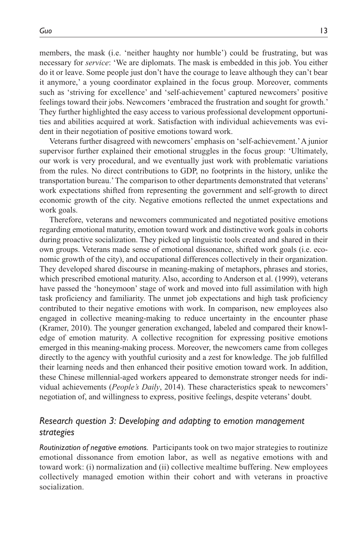members, the mask (i.e. 'neither haughty nor humble') could be frustrating, but was necessary for *service*: 'We are diplomats. The mask is embedded in this job. You either do it or leave. Some people just don't have the courage to leave although they can't bear it anymore,' a young coordinator explained in the focus group. Moreover, comments such as 'striving for excellence' and 'self-achievement' captured newcomers' positive feelings toward their jobs. Newcomers 'embraced the frustration and sought for growth.' They further highlighted the easy access to various professional development opportunities and abilities acquired at work. Satisfaction with individual achievements was evident in their negotiation of positive emotions toward work.

Veterans further disagreed with newcomers' emphasis on 'self-achievement.' A junior supervisor further explained their emotional struggles in the focus group: 'Ultimately, our work is very procedural, and we eventually just work with problematic variations from the rules. No direct contributions to GDP, no footprints in the history, unlike the transportation bureau.' The comparison to other departments demonstrated that veterans' work expectations shifted from representing the government and self-growth to direct economic growth of the city. Negative emotions reflected the unmet expectations and work goals.

Therefore, veterans and newcomers communicated and negotiated positive emotions regarding emotional maturity, emotion toward work and distinctive work goals in cohorts during proactive socialization. They picked up linguistic tools created and shared in their own groups. Veterans made sense of emotional dissonance, shifted work goals (i.e. economic growth of the city), and occupational differences collectively in their organization. They developed shared discourse in meaning-making of metaphors, phrases and stories, which prescribed emotional maturity. Also, according to Anderson et al. (1999), veterans have passed the 'honeymoon' stage of work and moved into full assimilation with high task proficiency and familiarity. The unmet job expectations and high task proficiency contributed to their negative emotions with work. In comparison, new employees also engaged in collective meaning-making to reduce uncertainty in the encounter phase (Kramer, 2010). The younger generation exchanged, labeled and compared their knowledge of emotion maturity. A collective recognition for expressing positive emotions emerged in this meaning-making process. Moreover, the newcomers came from colleges directly to the agency with youthful curiosity and a zest for knowledge. The job fulfilled their learning needs and then enhanced their positive emotion toward work. In addition, these Chinese millennial-aged workers appeared to demonstrate stronger needs for individual achievements (*People's Daily*, 2014). These characteristics speak to newcomers' negotiation of, and willingness to express, positive feelings, despite veterans' doubt.

# *Research question 3: Developing and adapting to emotion management strategies*

*Routinization of negative emotions.* Participants took on two major strategies to routinize emotional dissonance from emotion labor, as well as negative emotions with and toward work: (i) normalization and (ii) collective mealtime buffering. New employees collectively managed emotion within their cohort and with veterans in proactive socialization.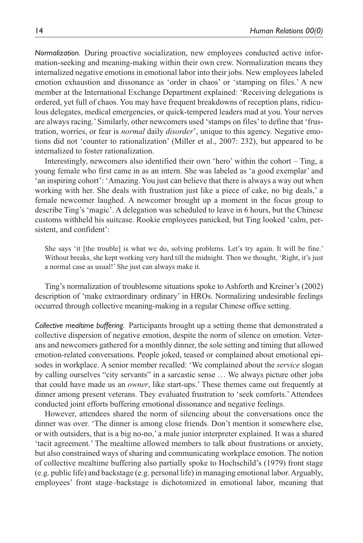*Normalization.* During proactive socialization, new employees conducted active information-seeking and meaning-making within their own crew. Normalization means they internalized negative emotions in emotional labor into their jobs. New employees labeled emotion exhaustion and dissonance as 'order in chaos' or 'stamping on files.' A new member at the International Exchange Department explained: 'Receiving delegations is ordered, yet full of chaos. You may have frequent breakdowns of reception plans, ridiculous delegates, medical emergencies, or quick-tempered leaders mad at you. Your nerves are always racing.' Similarly, other newcomers used 'stamps on files' to define that 'frustration, worries, or fear is *normal* daily *disorder*', unique to this agency. Negative emotions did not 'counter to rationalization' (Miller et al., 2007: 232), but appeared to be internalized to foster rationalization.

Interestingly, newcomers also identified their own 'hero' within the cohort – Ting, a young female who first came in as an intern. She was labeled as 'a good exemplar' and 'an inspiring cohort': 'Amazing. You just can believe that there is always a way out when working with her. She deals with frustration just like a piece of cake, no big deals,' a female newcomer laughed. A newcomer brought up a moment in the focus group to describe Ting's 'magic'. A delegation was scheduled to leave in 6 hours, but the Chinese customs withheld his suitcase. Rookie employees panicked, but Ting looked 'calm, persistent, and confident':

She says 'it [the trouble] is what we do, solving problems. Let's try again. It will be fine.' Without breaks, she kept working very hard till the midnight. Then we thought, 'Right, it's just a normal case as usual!' She just can always make it.

Ting's normalization of troublesome situations spoke to Ashforth and Kreiner's (2002) description of 'make extraordinary ordinary' in HROs. Normalizing undesirable feelings occurred through collective meaning-making in a regular Chinese office setting.

*Collective mealtime buffering.* Participants brought up a setting theme that demonstrated a collective dispersion of negative emotion, despite the norm of silence on emotion. Veterans and newcomers gathered for a monthly dinner, the sole setting and timing that allowed emotion-related conversations. People joked, teased or complained about emotional episodes in workplace. A senior member recalled: 'We complained about the *service* slogan by calling ourselves "city servants" in a sarcastic sense … We always picture other jobs that could have made us an *owner*, like start-ups.' These themes came out frequently at dinner among present veterans. They evaluated frustration to 'seek comforts.' Attendees conducted joint efforts buffering emotional dissonance and negative feelings.

However, attendees shared the norm of silencing about the conversations once the dinner was over. 'The dinner is among close friends. Don't mention it somewhere else, or with outsiders, that is a big no-no,' a male junior interpreter explained. It was a shared 'tacit agreement.' The mealtime allowed members to talk about frustrations or anxiety, but also constrained ways of sharing and communicating workplace emotion. The notion of collective mealtime buffering also partially spoke to Hochschild's (1979) front stage (e.g. public life) and backstage (e.g. personal life) in managing emotional labor. Arguably, employees' front stage–backstage is dichotomized in emotional labor, meaning that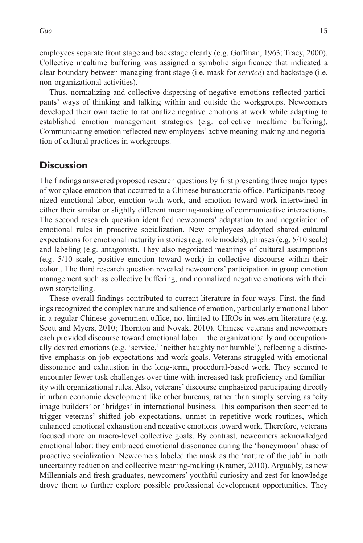employees separate front stage and backstage clearly (e.g. Goffman, 1963; Tracy, 2000). Collective mealtime buffering was assigned a symbolic significance that indicated a clear boundary between managing front stage (i.e. mask for *service*) and backstage (i.e. non-organizational activities).

Thus, normalizing and collective dispersing of negative emotions reflected participants' ways of thinking and talking within and outside the workgroups. Newcomers developed their own tactic to rationalize negative emotions at work while adapting to established emotion management strategies (e.g. collective mealtime buffering). Communicating emotion reflected new employees' active meaning-making and negotiation of cultural practices in workgroups.

## **Discussion**

The findings answered proposed research questions by first presenting three major types of workplace emotion that occurred to a Chinese bureaucratic office. Participants recognized emotional labor, emotion with work, and emotion toward work intertwined in either their similar or slightly different meaning-making of communicative interactions. The second research question identified newcomers' adaptation to and negotiation of emotional rules in proactive socialization. New employees adopted shared cultural expectations for emotional maturity in stories (e.g. role models), phrases (e.g. 5/10 scale) and labeling (e.g. antagonist). They also negotiated meanings of cultural assumptions (e.g. 5/10 scale, positive emotion toward work) in collective discourse within their cohort. The third research question revealed newcomers' participation in group emotion management such as collective buffering, and normalized negative emotions with their own storytelling.

These overall findings contributed to current literature in four ways. First, the findings recognized the complex nature and salience of emotion, particularly emotional labor in a regular Chinese government office, not limited to HROs in western literature (e.g. Scott and Myers, 2010; Thornton and Novak, 2010). Chinese veterans and newcomers each provided discourse toward emotional labor – the organizationally and occupationally desired emotions (e.g. 'service,' 'neither haughty nor humble'), reflecting a distinctive emphasis on job expectations and work goals. Veterans struggled with emotional dissonance and exhaustion in the long-term, procedural-based work. They seemed to encounter fewer task challenges over time with increased task proficiency and familiarity with organizational rules. Also, veterans' discourse emphasized participating directly in urban economic development like other bureaus, rather than simply serving as 'city image builders' or 'bridges' in international business. This comparison then seemed to trigger veterans' shifted job expectations, unmet in repetitive work routines, which enhanced emotional exhaustion and negative emotions toward work. Therefore, veterans focused more on macro-level collective goals. By contrast, newcomers acknowledged emotional labor: they embraced emotional dissonance during the 'honeymoon' phase of proactive socialization. Newcomers labeled the mask as the 'nature of the job' in both uncertainty reduction and collective meaning-making (Kramer, 2010). Arguably, as new Millennials and fresh graduates, newcomers' youthful curiosity and zest for knowledge drove them to further explore possible professional development opportunities. They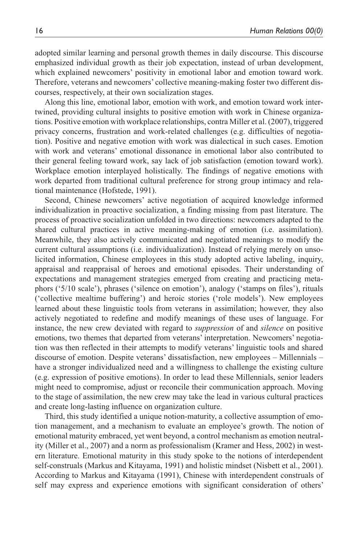adopted similar learning and personal growth themes in daily discourse. This discourse emphasized individual growth as their job expectation, instead of urban development, which explained newcomers' positivity in emotional labor and emotion toward work. Therefore, veterans and newcomers' collective meaning-making foster two different discourses, respectively, at their own socialization stages.

Along this line, emotional labor, emotion with work, and emotion toward work intertwined, providing cultural insights to positive emotion with work in Chinese organizations. Positive emotion with workplace relationships, contra Miller et al. (2007), triggered privacy concerns, frustration and work-related challenges (e.g. difficulties of negotiation). Positive and negative emotion with work was dialectical in such cases. Emotion with work and veterans' emotional dissonance in emotional labor also contributed to their general feeling toward work, say lack of job satisfaction (emotion toward work). Workplace emotion interplayed holistically. The findings of negative emotions with work departed from traditional cultural preference for strong group intimacy and relational maintenance (Hofstede, 1991).

Second, Chinese newcomers' active negotiation of acquired knowledge informed individualization in proactive socialization, a finding missing from past literature. The process of proactive socialization unfolded in two directions: newcomers adapted to the shared cultural practices in active meaning-making of emotion (i.e. assimilation). Meanwhile, they also actively communicated and negotiated meanings to modify the current cultural assumptions (i.e. individualization). Instead of relying merely on unsolicited information, Chinese employees in this study adopted active labeling, inquiry, appraisal and reappraisal of heroes and emotional episodes. Their understanding of expectations and management strategies emerged from creating and practicing metaphors ('5/10 scale'), phrases ('silence on emotion'), analogy ('stamps on files'), rituals ('collective mealtime buffering') and heroic stories ('role models'). New employees learned about these linguistic tools from veterans in assimilation; however, they also actively negotiated to redefine and modify meanings of these uses of language. For instance, the new crew deviated with regard to *suppression* of and *silence* on positive emotions, two themes that departed from veterans' interpretation. Newcomers' negotiation was then reflected in their attempts to modify veterans' linguistic tools and shared discourse of emotion. Despite veterans' dissatisfaction, new employees – Millennials – have a stronger individualized need and a willingness to challenge the existing culture (e.g. expression of positive emotions). In order to lead these Millennials, senior leaders might need to compromise, adjust or reconcile their communication approach. Moving to the stage of assimilation, the new crew may take the lead in various cultural practices and create long-lasting influence on organization culture.

Third, this study identified a unique notion-maturity, a collective assumption of emotion management, and a mechanism to evaluate an employee's growth. The notion of emotional maturity embraced, yet went beyond, a control mechanism as emotion neutrality (Miller et al., 2007) and a norm as professionalism (Kramer and Hess, 2002) in western literature. Emotional maturity in this study spoke to the notions of interdependent self-construals (Markus and Kitayama, 1991) and holistic mindset (Nisbett et al., 2001). According to Markus and Kitayama (1991), Chinese with interdependent construals of self may express and experience emotions with significant consideration of others'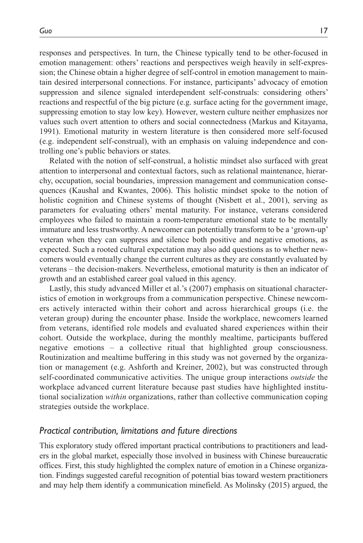responses and perspectives. In turn, the Chinese typically tend to be other-focused in emotion management: others' reactions and perspectives weigh heavily in self-expression; the Chinese obtain a higher degree of self-control in emotion management to maintain desired interpersonal connections. For instance, participants' advocacy of emotion suppression and silence signaled interdependent self-construals: considering others' reactions and respectful of the big picture (e.g. surface acting for the government image, suppressing emotion to stay low key). However, western culture neither emphasizes nor values such overt attention to others and social connectedness (Markus and Kitayama, 1991). Emotional maturity in western literature is then considered more self-focused (e.g. independent self-construal), with an emphasis on valuing independence and controlling one's public behaviors or states.

Related with the notion of self-construal, a holistic mindset also surfaced with great attention to interpersonal and contextual factors, such as relational maintenance, hierarchy, occupation, social boundaries, impression management and communication consequences (Kaushal and Kwantes, 2006). This holistic mindset spoke to the notion of holistic cognition and Chinese systems of thought (Nisbett et al., 2001), serving as parameters for evaluating others' mental maturity. For instance, veterans considered employees who failed to maintain a room-temperature emotional state to be mentally immature and less trustworthy. A newcomer can potentially transform to be a 'grown-up' veteran when they can suppress and silence both positive and negative emotions, as expected. Such a rooted cultural expectation may also add questions as to whether newcomers would eventually change the current cultures as they are constantly evaluated by veterans – the decision-makers. Nevertheless, emotional maturity is then an indicator of growth and an established career goal valued in this agency.

Lastly, this study advanced Miller et al.'s (2007) emphasis on situational characteristics of emotion in workgroups from a communication perspective. Chinese newcomers actively interacted within their cohort and across hierarchical groups (i.e. the veteran group) during the encounter phase. Inside the workplace, newcomers learned from veterans, identified role models and evaluated shared experiences within their cohort. Outside the workplace, during the monthly mealtime, participants buffered negative emotions – a collective ritual that highlighted group consciousness. Routinization and mealtime buffering in this study was not governed by the organization or management (e.g. Ashforth and Kreiner, 2002), but was constructed through self-coordinated communicative activities. The unique group interactions *outside* the workplace advanced current literature because past studies have highlighted institutional socialization *within* organizations, rather than collective communication coping strategies outside the workplace.

#### *Practical contribution, limitations and future directions*

This exploratory study offered important practical contributions to practitioners and leaders in the global market, especially those involved in business with Chinese bureaucratic offices. First, this study highlighted the complex nature of emotion in a Chinese organization. Findings suggested careful recognition of potential bias toward western practitioners and may help them identify a communication minefield. As Molinsky (2015) argued, the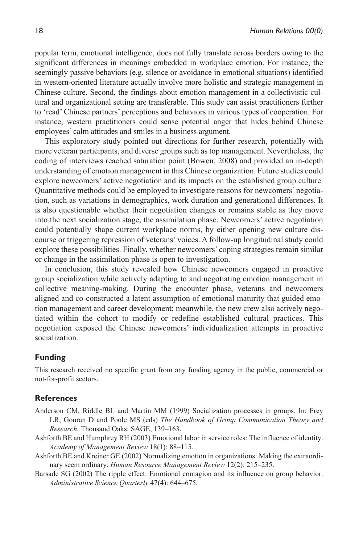popular term, emotional intelligence, does not fully translate across borders owing to the significant differences in meanings embedded in workplace emotion. For instance, the seemingly passive behaviors (e.g. silence or avoidance in emotional situations) identified in western-oriented literature actually involve more holistic and strategic management in Chinese culture. Second, the findings about emotion management in a collectivistic cultural and organizational setting are transferable. This study can assist practitioners further to 'read' Chinese partners' perceptions and behaviors in various types of cooperation. For instance, western practitioners could sense potential anger that hides behind Chinese employees' calm attitudes and smiles in a business argument.

This exploratory study pointed out directions for further research, potentially with more veteran participants, and diverse groups such as top management. Nevertheless, the coding of interviews reached saturation point (Bowen, 2008) and provided an in-depth understanding of emotion management in this Chinese organization. Future studies could explore newcomers' active negotiation and its impacts on the established group culture. Quantitative methods could be employed to investigate reasons for newcomers' negotiation, such as variations in demographics, work duration and generational differences. It is also questionable whether their negotiation changes or remains stable as they move into the next socialization stage, the assimilation phase. Newcomers' active negotiation could potentially shape current workplace norms, by either opening new culture discourse or triggering repression of veterans' voices. A follow-up longitudinal study could explore these possibilities. Finally, whether newcomers' coping strategies remain similar or change in the assimilation phase is open to investigation.

In conclusion, this study revealed how Chinese newcomers engaged in proactive group socialization while actively adapting to and negotiating emotion management in collective meaning-making. During the encounter phase, veterans and newcomers aligned and co-constructed a latent assumption of emotional maturity that guided emotion management and career development; meanwhile, the new crew also actively negotiated within the cohort to modify or redefine established cultural practices. This negotiation exposed the Chinese newcomers' individualization attempts in proactive socialization.

#### **Funding**

This research received no specific grant from any funding agency in the public, commercial or not-for-profit sectors.

#### **References**

- Anderson CM, Riddle BL and Martin MM (1999) Socialization processes in groups. In: Frey LR, Gouran D and Poole MS (eds) *The Handbook of Group Communication Theory and Research*. Thousand Oaks: SAGE, 139–163.
- Ashforth BE and Humphrey RH (2003) Emotional labor in service roles: The influence of identity. *Academy of Management Review* 18(1): 88–115.
- Ashforth BE and Kreiner GE (2002) Normalizing emotion in organizations: Making the extraordinary seem ordinary. *Human Resource Management Review* 12(2): 215–235.
- Barsade SG (2002) The ripple effect: Emotional contagion and its influence on group behavior. *Administrative Science Quarterly* 47(4): 644–675.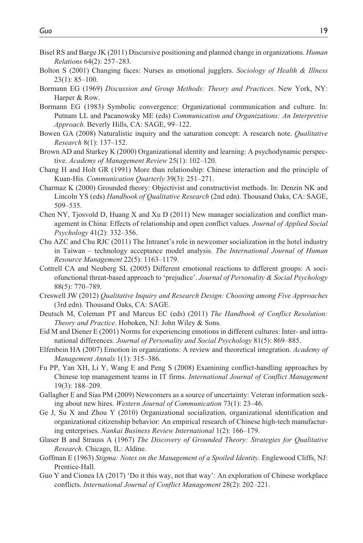- Bisel RS and Barge JK (2011) Discursive positioning and planned change in organizations. *Human Relations* 64(2): 257–283.
- Bolton S (2001) Changing faces: Nurses as emotional jugglers. *Sociology of Health & Illness* 23(1): 85–100.
- Bormann EG (1969) *Discussion and Group Methods: Theory and Practices*. New York, NY: Harper & Row.
- Bormann EG (1983) Symbolic convergence: Organizational communication and culture. In: Putnam LL and Pacanowsky ME (eds) *Communication and Organizations: An Interpretive Approach*. Beverly Hills, CA: SAGE, 99–122.
- Bowen GA (2008) Naturalistic inquiry and the saturation concept: A research note. *Qualitative Research* 8(1): 137–152.
- Brown AD and Starkey K (2000) Organizational identity and learning: A psychodynamic perspective. *Academy of Management Review* 25(1): 102–120.
- Chang H and Holt GR (1991) More than relationship: Chinese interaction and the principle of Kuan-His. *Communication Quarterly* 39(3): 251–271.
- Charmaz K (2000) Grounded theory: Objectivist and constructivist methods. In: Denzin NK and Lincoln YS (eds) *Handbook of Qualitative Research* (2nd edn). Thousand Oaks, CA: SAGE, 509–535.
- Chen NY, Tjosvold D, Huang X and Xu D (2011) New manager socialization and conflict management in China: Effects of relationship and open conflict values. *Journal of Applied Social Psychology* 41(2): 332–356.
- Chu AZC and Chu RJC (2011) The Intranet's role in newcomer socialization in the hotel industry in Taiwan – technology acceptance model analysis. *The International Journal of Human Resource Management* 22(5): 1163–1179.
- Cottrell CA and Neuberg SL (2005) Different emotional reactions to different groups: A sociofunctional threat-based approach to 'prejudice'. *Journal of Personality & Social Psychology* 88(5): 770–789.
- Creswell JW (2012) *Qualitative Inquiry and Research Design: Choosing among Five Approaches* (3rd edn). Thousand Oaks, CA: SAGE.
- Deutsch M, Coleman PT and Marcus EC (eds) (2011) *The Handbook of Conflict Resolution: Theory and Practice*. Hoboken, NJ: John Wiley & Sons.
- Eid M and Diener E (2001) Norms for experiencing emotions in different cultures: Inter- and intranational differences. *Journal of Personality and Social Psychology* 81(5): 869–885.
- Elfenbein HA (2007) Emotion in organizations: A review and theoretical integration. *Academy of Management Annals* 1(1): 315–386.
- Fu PP, Yan XH, Li Y, Wang E and Peng S (2008) Examining conflict-handling approaches by Chinese top management teams in IT firms. *International Journal of Conflict Management* 19(3): 188–209.
- Gallagher E and Sias PM (2009) Newcomers as a source of uncertainty: Veteran information seeking about new hires. *Western Journal of Communication* 73(1): 23–46.
- Ge J, Su X and Zhou Y (2010) Organizational socialization, organizational identification and organizational citizenship behavior: An empirical research of Chinese high-tech manufacturing enterprises. *Nankai Business Review International* 1(2): 166–179.
- Glaser B and Strauss A (1967) *The Discovery of Grounded Theory: Strategies for Qualitative Research*. Chicago, IL: Aldine.
- Goffman E (1963) *Stigma: Notes on the Management of a Spoiled Identity*. Englewood Cliffs, NJ: Prentice-Hall.
- Guo Y and Cionea IA (2017) 'Do it this way, not that way': An exploration of Chinese workplace conflicts. *International Journal of Conflict Management* 28(2): 202–221.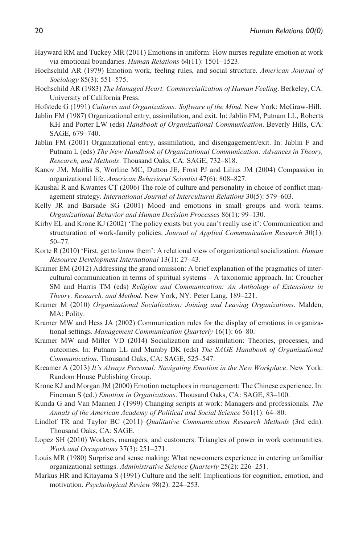- Hayward RM and Tuckey MR (2011) Emotions in uniform: How nurses regulate emotion at work via emotional boundaries. *Human Relations* 64(11): 1501–1523.
- Hochschild AR (1979) Emotion work, feeling rules, and social structure. *American Journal of Sociology* 85(3): 551–575.
- Hochschild AR (1983) *The Managed Heart: Commercialization of Human Feeling*. Berkeley, CA: University of California Press.
- Hofstede G (1991) *Cultures and Organizations: Software of the Mind*. New York: McGraw-Hill.
- Jablin FM (1987) Organizational entry, assimilation, and exit. In: Jablin FM, Putnam LL, Roberts KH and Porter LW (eds) *Handbook of Organizational Communication*. Beverly Hills, CA: SAGE, 679–740.
- Jablin FM (2001) Organizational entry, assimilation, and disengagement/exit. In: Jablin F and Putnam L (eds) *The New Handbook of Organizational Communication: Advances in Theory, Research, and Methods*. Thousand Oaks, CA: SAGE, 732–818.
- Kanov JM, Maitlis S, Worline MC, Dutton JE, Frost PJ and Lilius JM (2004) Compassion in organizational life. *American Behavioral Scientist* 47(6): 808–827.
- Kaushal R and Kwantes CT (2006) The role of culture and personality in choice of conflict management strategy. *International Journal of Intercultural Relations* 30(5): 579–603.
- Kelly JR and Barsade SG (2001) Mood and emotions in small groups and work teams. *Organizational Behavior and Human Decision Processes* 86(1): 99–130.
- Kirby EL and Krone KJ (2002) 'The policy exists but you can't really use it': Communication and structuration of work-family policies. *Journal of Applied Communication Research* 30(1): 50–77.
- Korte R (2010) 'First, get to know them': A relational view of organizational socialization. *Human Resource Development International* 13(1): 27–43.
- Kramer EM (2012) Addressing the grand omission: A brief explanation of the pragmatics of intercultural communication in terms of spiritual systems – A taxonomic approach. In: Croucher SM and Harris TM (eds) *Religion and Communication: An Anthology of Extensions in Theory, Research, and Method*. New York, NY: Peter Lang, 189–221.
- Kramer M (2010) *Organizational Socialization: Joining and Leaving Organizations*. Malden, MA: Polity.
- Kramer MW and Hess JA (2002) Communication rules for the display of emotions in organizational settings. *Management Communication Quarterly* 16(1): 66–80.
- Kramer MW and Miller VD (2014) Socialization and assimilation: Theories, processes, and outcomes. In: Putnam LL and Mumby DK (eds) *The SAGE Handbook of Organizational Communication*. Thousand Oaks, CA: SAGE, 525–547.
- Kreamer A (2013) *It's Always Personal: Navigating Emotion in the New Workplace*. New York: Random House Publishing Group.
- Krone KJ and Morgan JM (2000) Emotion metaphors in management: The Chinese experience. In: Fineman S (ed.) *Emotion in Organizations*. Thousand Oaks, CA: SAGE, 83–100.
- Kunda G and Van Maanen J (1999) Changing scripts at work: Managers and professionals. *The Annals of the American Academy of Political and Social Science* 561(1): 64–80.
- Lindlof TR and Taylor BC (2011) *Qualitative Communication Research Methods* (3rd edn). Thousand Oaks, CA: SAGE.
- Lopez SH (2010) Workers, managers, and customers: Triangles of power in work communities. *Work and Occupations* 37(3): 251–271.
- Louis MR (1980) Surprise and sense making: What newcomers experience in entering unfamiliar organizational settings. *Administrative Science Quarterly* 25(2): 226–251.
- Markus HR and Kitayama S (1991) Culture and the self: Implications for cognition, emotion, and motivation. *Psychological Review* 98(2): 224–253.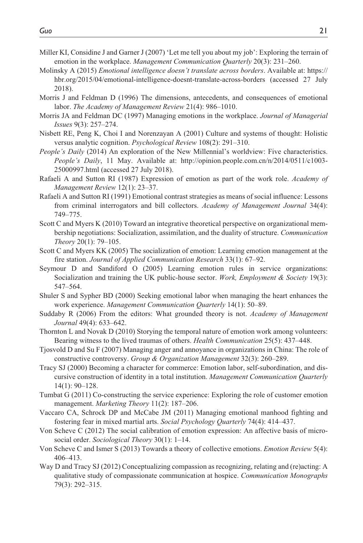- Miller KI, Considine J and Garner J (2007) 'Let me tell you about my job': Exploring the terrain of emotion in the workplace. *Management Communication Quarterly* 20(3): 231–260.
- Molinsky A (2015) *Emotional intelligence doesn't translate across borders*. Available at: [https://](https://hbr.org/2015/04/emotional-intelligence-doesnt-translate-across-borders) [hbr.org/2015/04/emotional-intelligence-doesnt-translate-across-borders](https://hbr.org/2015/04/emotional-intelligence-doesnt-translate-across-borders) (accessed 27 July 2018).
- Morris J and Feldman D (1996) The dimensions, antecedents, and consequences of emotional labor. *The Academy of Management Review* 21(4): 986–1010.
- Morris JA and Feldman DC (1997) Managing emotions in the workplace. *Journal of Managerial Issues* 9(3): 257–274.
- Nisbett RE, Peng K, Choi I and Norenzayan A (2001) Culture and systems of thought: Holistic versus analytic cognition. *Psychological Review* 108(2): 291–310.
- *People's Daily* (2014) An exploration of the New Millennial's worldview: Five characteristics. *People's Daily*, 11 May. Available at: [http://opinion.people.com.cn/n/2014/0511/c1003-](http://opinion.people.com.cn/n/2014/0511/c1003-25000997.html) [25000997.html](http://opinion.people.com.cn/n/2014/0511/c1003-25000997.html) (accessed 27 July 2018).
- Rafaeli A and Sutton RI (1987) Expression of emotion as part of the work role. *Academy of Management Review* 12(1): 23–37.
- Rafaeli A and Sutton RI (1991) Emotional contrast strategies as means of social influence: Lessons from criminal interrogators and bill collectors. *Academy of Management Journal* 34(4): 749–775.
- Scott C and Myers K (2010) Toward an integrative theoretical perspective on organizational membership negotiations: Socialization, assimilation, and the duality of structure. *Communication Theory* 20(1): 79–105.
- Scott C and Myers KK (2005) The socialization of emotion: Learning emotion management at the fire station. *Journal of Applied Communication Research* 33(1): 67–92.
- Seymour D and Sandiford O (2005) Learning emotion rules in service organizations: Socialization and training the UK public-house sector. *Work, Employment & Society* 19(3): 547–564.
- Shuler S and Sypher BD (2000) Seeking emotional labor when managing the heart enhances the work experience. *Management Communication Quarterly* 14(1): 50–89.
- Suddaby R (2006) From the editors: What grounded theory is not. *Academy of Management Journal* 49(4): 633–642.
- Thornton L and Novak D (2010) Storying the temporal nature of emotion work among volunteers: Bearing witness to the lived traumas of others. *Health Communication* 25(5): 437–448.
- Tjosvold D and Su F (2007) Managing anger and annoyance in organizations in China: The role of constructive controversy. *Group & Organization Management* 32(3): 260–289.
- Tracy SJ (2000) Becoming a character for commerce: Emotion labor, self-subordination, and discursive construction of identity in a total institution. *Management Communication Quarterly* 14(1): 90–128.
- Tumbat G (2011) Co-constructing the service experience: Exploring the role of customer emotion management. *Marketing Theory* 11(2): 187–206.
- Vaccaro CA, Schrock DP and McCabe JM (2011) Managing emotional manhood fighting and fostering fear in mixed martial arts. *Social Psychology Quarterly* 74(4): 414–437.
- Von Scheve C (2012) The social calibration of emotion expression: An affective basis of microsocial order. *Sociological Theory* 30(1): 1–14.
- Von Scheve C and Ismer S (2013) Towards a theory of collective emotions. *Emotion Review* 5(4): 406–413.
- Way D and Tracy SJ (2012) Conceptualizing compassion as recognizing, relating and (re)acting: A qualitative study of compassionate communication at hospice. *Communication Monographs*  79(3): 292–315.